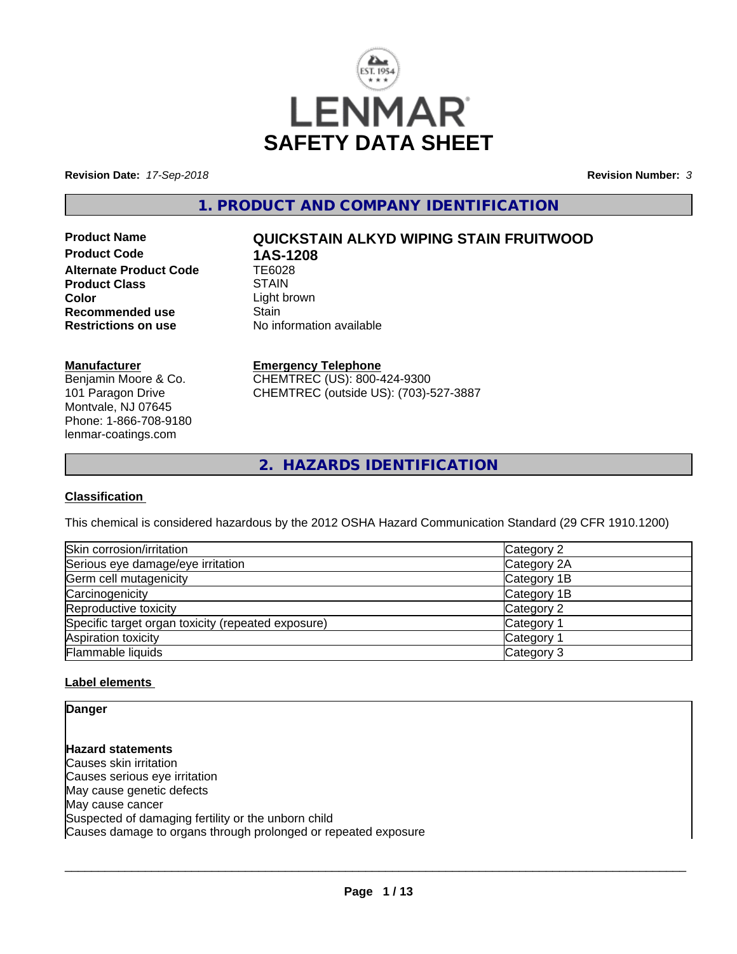

**Revision Date:** *17-Sep-2018* **Revision Number:** *3*

**1. PRODUCT AND COMPANY IDENTIFICATION**

**Product Code 1AS-1208**<br>Alternate Product Code 1E6028 **Alternate Product Code TE6028**<br>Product Class STAIN **Product Class Color**<br> **Recommended use**<br> **Color**<br> **Color**<br> **Color**<br> **Color**<br> **Color**<br> **Color**<br> **Color**<br> **Color Recommended use**<br>Restrictions on use

# **Product Name QUICKSTAIN ALKYD WIPING STAIN FRUITWOOD**

**No information available** 

### **Manufacturer**

Benjamin Moore & Co. 101 Paragon Drive Montvale, NJ 07645 Phone: 1-866-708-9180 lenmar-coatings.com

# **Emergency Telephone**

CHEMTREC (US): 800-424-9300 CHEMTREC (outside US): (703)-527-3887

**2. HAZARDS IDENTIFICATION**

# **Classification**

This chemical is considered hazardous by the 2012 OSHA Hazard Communication Standard (29 CFR 1910.1200)

| Skin corrosion/irritation                          | Category 2            |
|----------------------------------------------------|-----------------------|
| Serious eye damage/eye irritation                  | Category 2A           |
| Germ cell mutagenicity                             | Category 1B           |
| Carcinogenicity                                    | Category 1B           |
| Reproductive toxicity                              | Category 2            |
| Specific target organ toxicity (repeated exposure) | Category 1            |
| Aspiration toxicity                                | Category <sup>2</sup> |
| Flammable liquids                                  | Category 3            |

# **Label elements**

**Danger**

**Hazard statements** Causes skin irritation Causes serious eye irritation May cause genetic defects May cause cancer Suspected of damaging fertility or the unborn child Causes damage to organs through prolonged or repeated exposure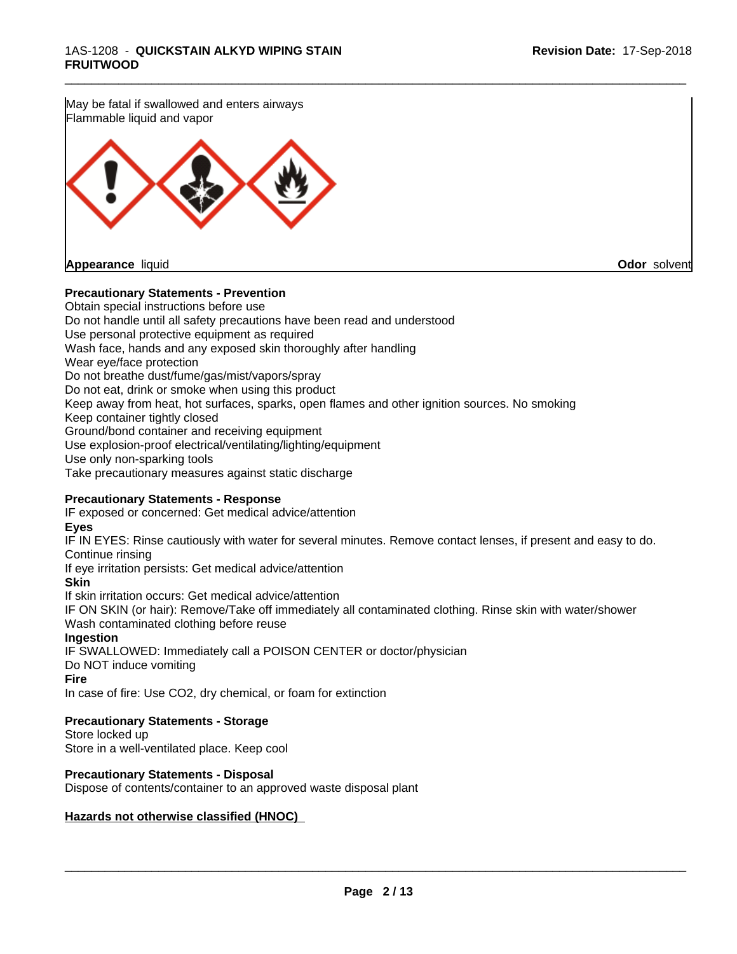May be fatal if swallowed and enters airways Flammable liquid and vapor

**Appearance** liquid **Odor** solvent

### **Precautionary Statements - Prevention**

Obtain special instructions before use Do not handle until all safety precautions have been read and understood Use personal protective equipment as required Wash face, hands and any exposed skin thoroughly after handling Wear eye/face protection Do not breathe dust/fume/gas/mist/vapors/spray Do not eat, drink or smoke when using this product Keep away from heat, hot surfaces, sparks, open flames and other ignition sources. No smoking Keep container tightly closed Ground/bond container and receiving equipment Use explosion-proof electrical/ventilating/lighting/equipment Use only non-sparking tools Take precautionary measures against static discharge

# **Precautionary Statements - Response**

IF exposed or concerned: Get medical advice/attention

#### **Eyes**

IF IN EYES: Rinse cautiously with water for several minutes. Remove contact lenses, if present and easy to do. Continue rinsing

\_\_\_\_\_\_\_\_\_\_\_\_\_\_\_\_\_\_\_\_\_\_\_\_\_\_\_\_\_\_\_\_\_\_\_\_\_\_\_\_\_\_\_\_\_\_\_\_\_\_\_\_\_\_\_\_\_\_\_\_\_\_\_\_\_\_\_\_\_\_\_\_\_\_\_\_\_\_\_\_\_\_\_\_\_\_\_\_\_\_\_\_\_

If eye irritation persists: Get medical advice/attention

### **Skin**

If skin irritation occurs: Get medical advice/attention

IF ON SKIN (or hair): Remove/Take off immediately all contaminated clothing. Rinse skin with water/shower Wash contaminated clothing before reuse

### **Ingestion**

IF SWALLOWED: Immediately call a POISON CENTER or doctor/physician Do NOT induce vomiting

### **Fire**

In case of fire: Use CO2, dry chemical, or foam for extinction

### **Precautionary Statements - Storage**

Store locked up Store in a well-ventilated place. Keep cool

# **Precautionary Statements - Disposal**

Dispose of contents/container to an approved waste disposal plant

### **Hazards not otherwise classified (HNOC)**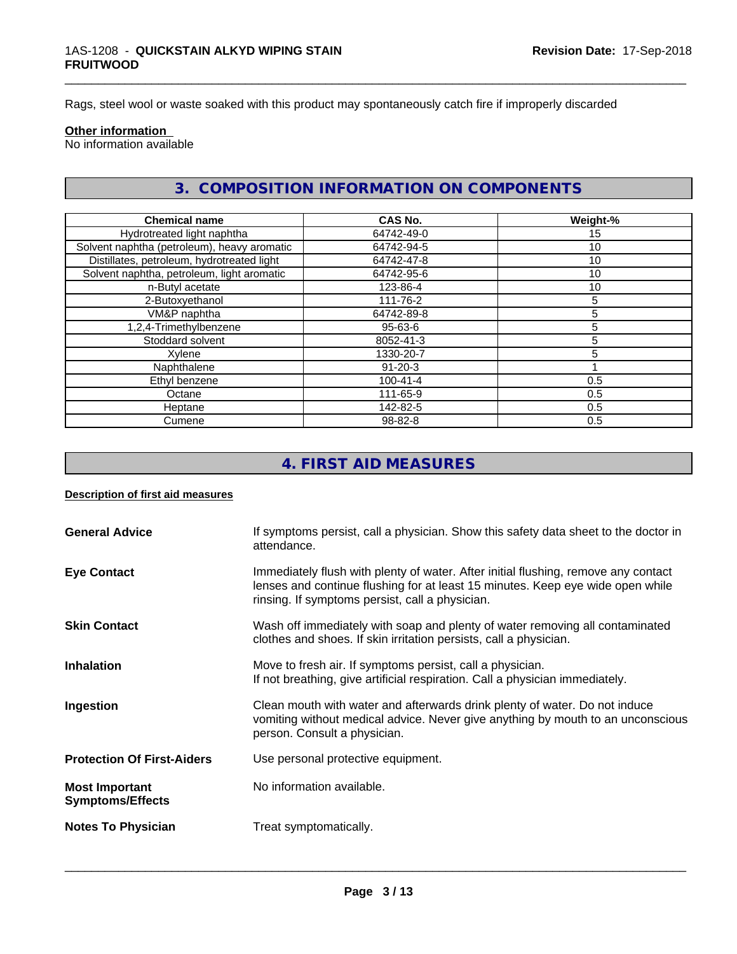Rags, steel wool or waste soaked with this product may spontaneously catch fire if improperly discarded

#### **Other information**

No information available

# **3. COMPOSITION INFORMATION ON COMPONENTS**

\_\_\_\_\_\_\_\_\_\_\_\_\_\_\_\_\_\_\_\_\_\_\_\_\_\_\_\_\_\_\_\_\_\_\_\_\_\_\_\_\_\_\_\_\_\_\_\_\_\_\_\_\_\_\_\_\_\_\_\_\_\_\_\_\_\_\_\_\_\_\_\_\_\_\_\_\_\_\_\_\_\_\_\_\_\_\_\_\_\_\_\_\_

| <b>Chemical name</b>                        | <b>CAS No.</b> | Weight-%        |
|---------------------------------------------|----------------|-----------------|
| Hydrotreated light naphtha                  | 64742-49-0     | 15              |
| Solvent naphtha (petroleum), heavy aromatic | 64742-94-5     | 10 <sup>°</sup> |
| Distillates, petroleum, hydrotreated light  | 64742-47-8     | 10              |
| Solvent naphtha, petroleum, light aromatic  | 64742-95-6     | 10              |
| n-Butyl acetate                             | 123-86-4       | 10              |
| 2-Butoxyethanol                             | 111-76-2       | 5               |
| VM&P naphtha                                | 64742-89-8     | 5               |
| 1,2,4-Trimethylbenzene                      | $95 - 63 - 6$  | 5               |
| Stoddard solvent                            | 8052-41-3      | 5               |
| Xylene                                      | 1330-20-7      | 5               |
| Naphthalene                                 | $91 - 20 - 3$  |                 |
| Ethyl benzene                               | $100 - 41 - 4$ | 0.5             |
| Octane                                      | 111-65-9       | 0.5             |
| Heptane                                     | 142-82-5       | 0.5             |
| Cumene                                      | 98-82-8        | 0.5             |

# **4. FIRST AID MEASURES**

# **Description of first aid measures**

| <b>General Advice</b>                            | If symptoms persist, call a physician. Show this safety data sheet to the doctor in<br>attendance.                                                                                                                      |
|--------------------------------------------------|-------------------------------------------------------------------------------------------------------------------------------------------------------------------------------------------------------------------------|
| <b>Eye Contact</b>                               | Immediately flush with plenty of water. After initial flushing, remove any contact<br>lenses and continue flushing for at least 15 minutes. Keep eye wide open while<br>rinsing. If symptoms persist, call a physician. |
| <b>Skin Contact</b>                              | Wash off immediately with soap and plenty of water removing all contaminated<br>clothes and shoes. If skin irritation persists, call a physician.                                                                       |
| <b>Inhalation</b>                                | Move to fresh air. If symptoms persist, call a physician.<br>If not breathing, give artificial respiration. Call a physician immediately.                                                                               |
| Ingestion                                        | Clean mouth with water and afterwards drink plenty of water. Do not induce<br>vomiting without medical advice. Never give anything by mouth to an unconscious<br>person. Consult a physician.                           |
| <b>Protection Of First-Aiders</b>                | Use personal protective equipment.                                                                                                                                                                                      |
| <b>Most Important</b><br><b>Symptoms/Effects</b> | No information available.                                                                                                                                                                                               |
| <b>Notes To Physician</b>                        | Treat symptomatically.                                                                                                                                                                                                  |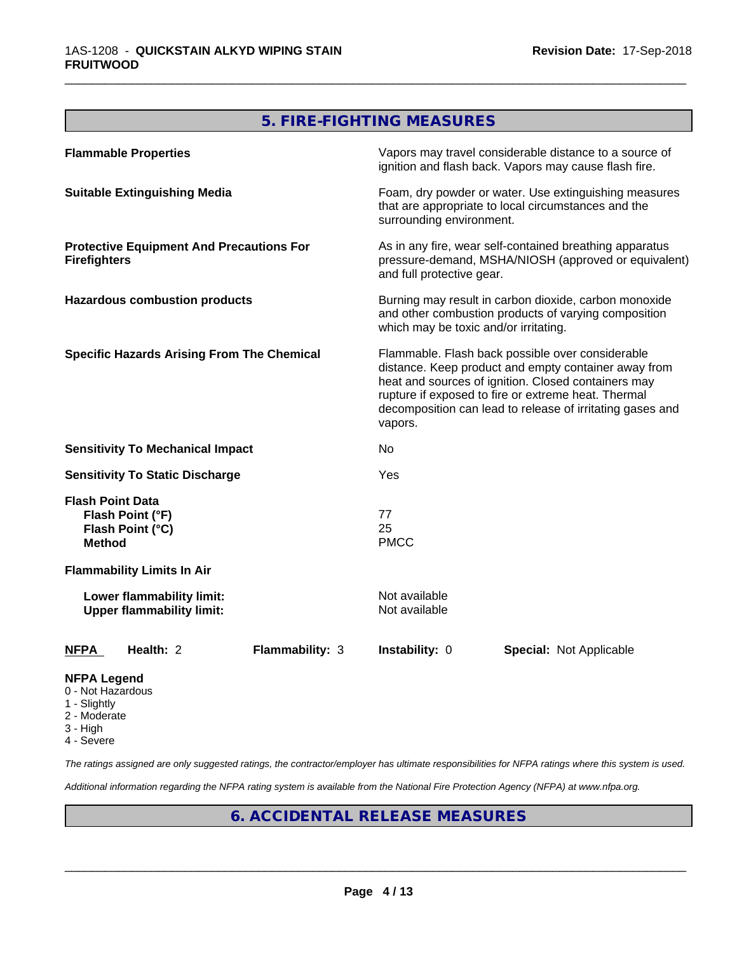# **5. FIRE-FIGHTING MEASURES**

\_\_\_\_\_\_\_\_\_\_\_\_\_\_\_\_\_\_\_\_\_\_\_\_\_\_\_\_\_\_\_\_\_\_\_\_\_\_\_\_\_\_\_\_\_\_\_\_\_\_\_\_\_\_\_\_\_\_\_\_\_\_\_\_\_\_\_\_\_\_\_\_\_\_\_\_\_\_\_\_\_\_\_\_\_\_\_\_\_\_\_\_\_

| <b>Flammable Properties</b>                                                                                                                                                                    | Vapors may travel considerable distance to a source of<br>ignition and flash back. Vapors may cause flash fire.                                                                                                                                                                                |
|------------------------------------------------------------------------------------------------------------------------------------------------------------------------------------------------|------------------------------------------------------------------------------------------------------------------------------------------------------------------------------------------------------------------------------------------------------------------------------------------------|
| <b>Suitable Extinguishing Media</b>                                                                                                                                                            | Foam, dry powder or water. Use extinguishing measures<br>that are appropriate to local circumstances and the<br>surrounding environment.                                                                                                                                                       |
| <b>Protective Equipment And Precautions For</b><br><b>Firefighters</b>                                                                                                                         | As in any fire, wear self-contained breathing apparatus<br>pressure-demand, MSHA/NIOSH (approved or equivalent)<br>and full protective gear.                                                                                                                                                   |
| Burning may result in carbon dioxide, carbon monoxide<br><b>Hazardous combustion products</b><br>and other combustion products of varying composition<br>which may be toxic and/or irritating. |                                                                                                                                                                                                                                                                                                |
| <b>Specific Hazards Arising From The Chemical</b>                                                                                                                                              | Flammable. Flash back possible over considerable<br>distance. Keep product and empty container away from<br>heat and sources of ignition. Closed containers may<br>rupture if exposed to fire or extreme heat. Thermal<br>decomposition can lead to release of irritating gases and<br>vapors. |
| <b>Sensitivity To Mechanical Impact</b>                                                                                                                                                        | No                                                                                                                                                                                                                                                                                             |
| <b>Sensitivity To Static Discharge</b>                                                                                                                                                         | Yes                                                                                                                                                                                                                                                                                            |
| <b>Flash Point Data</b><br>Flash Point (°F)<br>Flash Point (°C)<br><b>Method</b>                                                                                                               | 77<br>25<br><b>PMCC</b>                                                                                                                                                                                                                                                                        |
| <b>Flammability Limits In Air</b>                                                                                                                                                              |                                                                                                                                                                                                                                                                                                |
| Lower flammability limit:<br><b>Upper flammability limit:</b>                                                                                                                                  | Not available<br>Not available                                                                                                                                                                                                                                                                 |
| Health: 2<br><b>NFPA</b><br><b>Flammability: 3</b>                                                                                                                                             | Instability: 0<br>Special: Not Applicable                                                                                                                                                                                                                                                      |
| <b>NFPA Legend</b>                                                                                                                                                                             |                                                                                                                                                                                                                                                                                                |

- 0 Not Hazardous
- 1 Slightly
- 2 Moderate
- 3 High
- 4 Severe

*The ratings assigned are only suggested ratings, the contractor/employer has ultimate responsibilities for NFPA ratings where this system is used.*

*Additional information regarding the NFPA rating system is available from the National Fire Protection Agency (NFPA) at www.nfpa.org.*

# **6. ACCIDENTAL RELEASE MEASURES**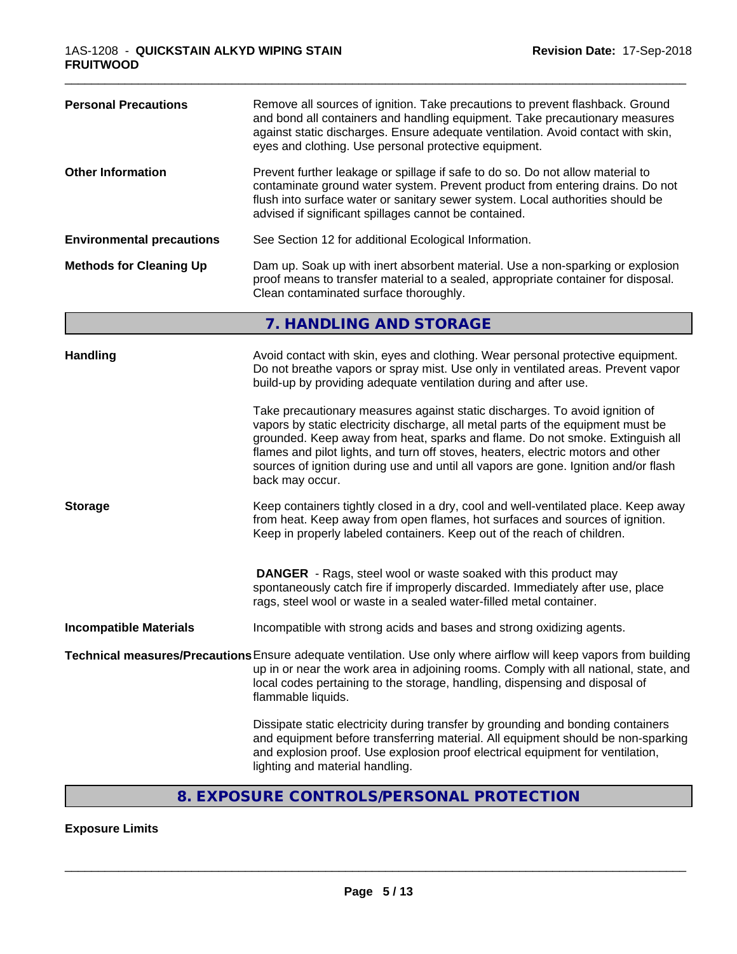| <b>Personal Precautions</b>      | Remove all sources of ignition. Take precautions to prevent flashback. Ground<br>and bond all containers and handling equipment. Take precautionary measures<br>against static discharges. Ensure adequate ventilation. Avoid contact with skin,<br>eyes and clothing. Use personal protective equipment.                                                                                                                                      |
|----------------------------------|------------------------------------------------------------------------------------------------------------------------------------------------------------------------------------------------------------------------------------------------------------------------------------------------------------------------------------------------------------------------------------------------------------------------------------------------|
| <b>Other Information</b>         | Prevent further leakage or spillage if safe to do so. Do not allow material to<br>contaminate ground water system. Prevent product from entering drains. Do not<br>flush into surface water or sanitary sewer system. Local authorities should be<br>advised if significant spillages cannot be contained.                                                                                                                                     |
| <b>Environmental precautions</b> | See Section 12 for additional Ecological Information.                                                                                                                                                                                                                                                                                                                                                                                          |
| <b>Methods for Cleaning Up</b>   | Dam up. Soak up with inert absorbent material. Use a non-sparking or explosion<br>proof means to transfer material to a sealed, appropriate container for disposal.<br>Clean contaminated surface thoroughly.                                                                                                                                                                                                                                  |
|                                  | 7. HANDLING AND STORAGE                                                                                                                                                                                                                                                                                                                                                                                                                        |
| <b>Handling</b>                  | Avoid contact with skin, eyes and clothing. Wear personal protective equipment.<br>Do not breathe vapors or spray mist. Use only in ventilated areas. Prevent vapor<br>build-up by providing adequate ventilation during and after use.                                                                                                                                                                                                        |
|                                  | Take precautionary measures against static discharges. To avoid ignition of<br>vapors by static electricity discharge, all metal parts of the equipment must be<br>grounded. Keep away from heat, sparks and flame. Do not smoke. Extinguish all<br>flames and pilot lights, and turn off stoves, heaters, electric motors and other<br>sources of ignition during use and until all vapors are gone. Ignition and/or flash<br>back may occur. |
| <b>Storage</b>                   | Keep containers tightly closed in a dry, cool and well-ventilated place. Keep away<br>from heat. Keep away from open flames, hot surfaces and sources of ignition.<br>Keep in properly labeled containers. Keep out of the reach of children.                                                                                                                                                                                                  |
|                                  | <b>DANGER</b> - Rags, steel wool or waste soaked with this product may<br>spontaneously catch fire if improperly discarded. Immediately after use, place<br>rags, steel wool or waste in a sealed water-filled metal container.                                                                                                                                                                                                                |
| <b>Incompatible Materials</b>    | Incompatible with strong acids and bases and strong oxidizing agents.                                                                                                                                                                                                                                                                                                                                                                          |
|                                  | Technical measures/Precautions Ensure adequate ventilation. Use only where airflow will keep vapors from building<br>up in or near the work area in adjoining rooms. Comply with all national, state, and<br>local codes pertaining to the storage, handling, dispensing and disposal of<br>flammable liquids.                                                                                                                                 |
|                                  | Dissipate static electricity during transfer by grounding and bonding containers<br>and equipment before transferring material. All equipment should be non-sparking<br>and explosion proof. Use explosion proof electrical equipment for ventilation,<br>lighting and material handling.                                                                                                                                                      |

# **8. EXPOSURE CONTROLS/PERSONAL PROTECTION**

# **Exposure Limits**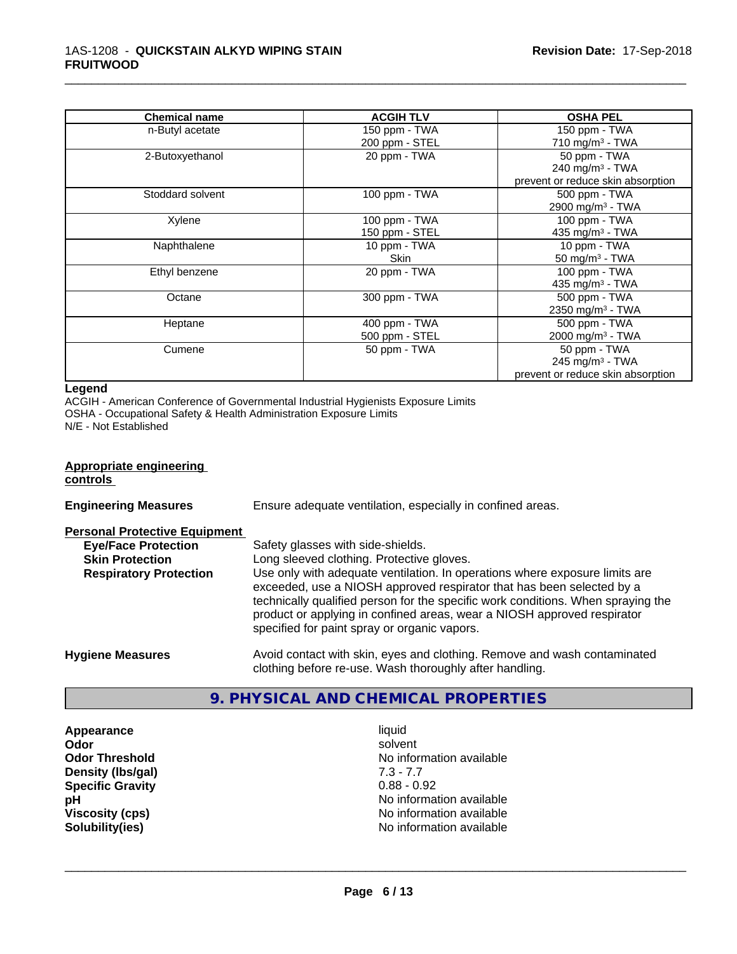| <b>Chemical name</b> | <b>ACGIH TLV</b>                | <b>OSHA PEL</b>                                                                  |
|----------------------|---------------------------------|----------------------------------------------------------------------------------|
| n-Butyl acetate      | 150 ppm - TWA<br>200 ppm - STEL | 150 ppm - TWA<br>710 mg/m $3$ - TWA                                              |
| 2-Butoxyethanol      | 20 ppm - TWA                    | 50 ppm - TWA<br>240 mg/m <sup>3</sup> - TWA<br>prevent or reduce skin absorption |
| Stoddard solvent     | 100 ppm - TWA                   | 500 ppm - TWA<br>2900 mg/m <sup>3</sup> - TWA                                    |
| Xylene               | 100 ppm - TWA<br>150 ppm - STEL | 100 ppm - TWA<br>435 mg/m <sup>3</sup> - TWA                                     |
| Naphthalene          | 10 ppm - TWA<br>Skin            | 10 ppm - TWA<br>50 mg/m $3$ - TWA                                                |
| Ethyl benzene        | 20 ppm - TWA                    | 100 ppm - $TWA$<br>435 mg/m <sup>3</sup> - TWA                                   |
| Octane               | 300 ppm - TWA                   | 500 ppm - TWA<br>2350 mg/m <sup>3</sup> - TWA                                    |
| Heptane              | 400 ppm - TWA<br>500 ppm - STEL | 500 ppm - TWA<br>2000 mg/m <sup>3</sup> - TWA                                    |
| Cumene               | 50 ppm - TWA                    | 50 ppm - TWA<br>245 mg/m <sup>3</sup> - TWA<br>prevent or reduce skin absorption |

\_\_\_\_\_\_\_\_\_\_\_\_\_\_\_\_\_\_\_\_\_\_\_\_\_\_\_\_\_\_\_\_\_\_\_\_\_\_\_\_\_\_\_\_\_\_\_\_\_\_\_\_\_\_\_\_\_\_\_\_\_\_\_\_\_\_\_\_\_\_\_\_\_\_\_\_\_\_\_\_\_\_\_\_\_\_\_\_\_\_\_\_\_

#### **Legend**

ACGIH - American Conference of Governmental Industrial Hygienists Exposure Limits OSHA - Occupational Safety & Health Administration Exposure Limits N/E - Not Established

# **Appropriate engineering**

**controls** 

**Engineering Measures** Ensure adequate ventilation, especially in confined areas.

**Personal Protective Equipment**

| <b>Eye/Face Protection</b>    | Safety glasses with side-shields.                                                                                                                                                                                                                                                                                                                                   |
|-------------------------------|---------------------------------------------------------------------------------------------------------------------------------------------------------------------------------------------------------------------------------------------------------------------------------------------------------------------------------------------------------------------|
| <b>Skin Protection</b>        | Long sleeved clothing. Protective gloves.                                                                                                                                                                                                                                                                                                                           |
| <b>Respiratory Protection</b> | Use only with adequate ventilation. In operations where exposure limits are<br>exceeded, use a NIOSH approved respirator that has been selected by a<br>technically qualified person for the specific work conditions. When spraying the<br>product or applying in confined areas, wear a NIOSH approved respirator<br>specified for paint spray or organic vapors. |
| <b>Hygiene Measures</b>       | Avoid contact with skin, eyes and clothing. Remove and wash contaminated                                                                                                                                                                                                                                                                                            |

# **9. PHYSICAL AND CHEMICAL PROPERTIES**

clothing before re-use. Wash thoroughly after handling.

**Appearance** liquid **Density (lbs/gal)** 7.3 - 7.7 **Specific Gravity** 0.88 - 0.92

**Odor** solvent **Odor Threshold No information available No information available pH** No information available **Viscosity (cps)** No information available **Solubility(ies)** No information available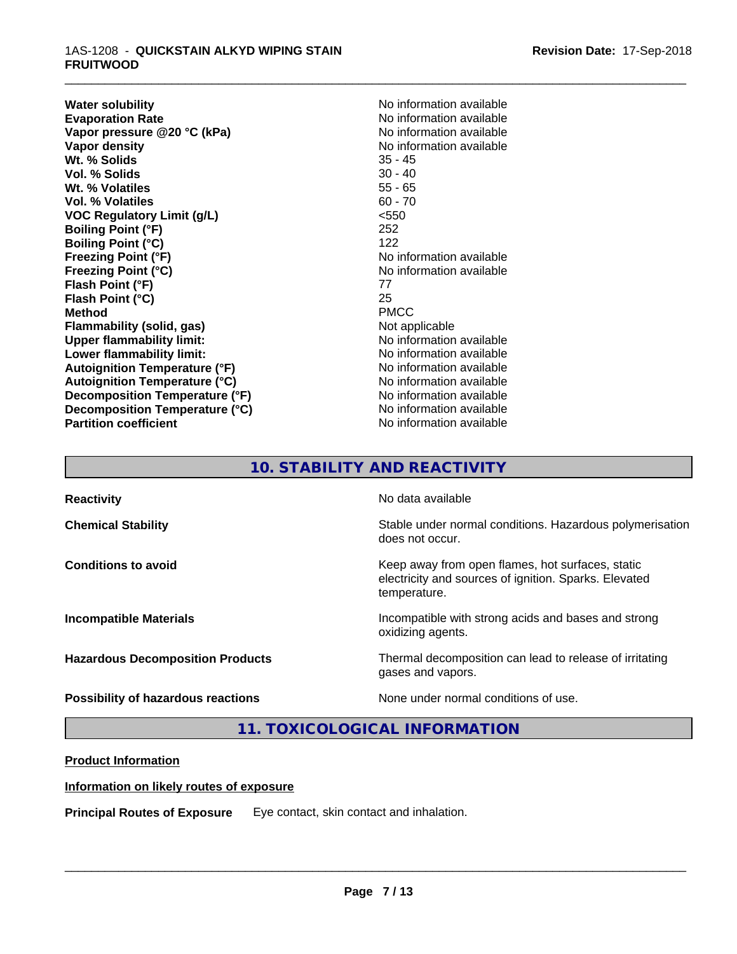### 1AS-1208 - **QUICKSTAIN ALKYD WIPING STAIN FRUITWOOD**

**Water solubility Mater Solubility**<br> **Evaporation Rate** Mate No information available **Vapor** pressure @20 °C (kPa) **Vapor density**<br> **We Solids**<br>
We Solids
25 - 45 **Wt. % Solids** 35 - 45<br> **Vol. % Solids** 30 - 40 **Vol. % Solids Wt. % Volatiles** 55 - 65 **Vol. % Volatiles** 60 - 70 **VOC Regulatory Limit (g/L)** <550 **Boiling Point (°F)** 252 **Boiling Point (°C)** 122 **Freezing Point (°F)** No information available **Freezing Point (°C)**<br> **Flash Point (°F)**<br> **Flash Point (°F)**<br> **Flash Point (°F) Flash Point (°F) Flash Point (°C)** 25 **Method** PMCC **Flammability (solid, gas)** Not applicable **Upper flammability limit:** No information available **Lower flammability limit:**<br> **Autoignition Temperature (°F)** No information available<br>
No information available **Autoignition Temperature (°F) Autoignition Temperature (°C)** No information available **Decomposition Temperature (°F)** No information available **Decomposition Temperature (°C)** No information available **Partition coefficient** No information available

No information available<br>No information available

\_\_\_\_\_\_\_\_\_\_\_\_\_\_\_\_\_\_\_\_\_\_\_\_\_\_\_\_\_\_\_\_\_\_\_\_\_\_\_\_\_\_\_\_\_\_\_\_\_\_\_\_\_\_\_\_\_\_\_\_\_\_\_\_\_\_\_\_\_\_\_\_\_\_\_\_\_\_\_\_\_\_\_\_\_\_\_\_\_\_\_\_\_

# **10. STABILITY AND REACTIVITY**

| <b>Reactivity</b>                       | No data available                                                                                                         |
|-----------------------------------------|---------------------------------------------------------------------------------------------------------------------------|
| <b>Chemical Stability</b>               | Stable under normal conditions. Hazardous polymerisation<br>does not occur.                                               |
| <b>Conditions to avoid</b>              | Keep away from open flames, hot surfaces, static<br>electricity and sources of ignition. Sparks. Elevated<br>temperature. |
| <b>Incompatible Materials</b>           | Incompatible with strong acids and bases and strong<br>oxidizing agents.                                                  |
| <b>Hazardous Decomposition Products</b> | Thermal decomposition can lead to release of irritating<br>gases and vapors.                                              |
| Possibility of hazardous reactions      | None under normal conditions of use.                                                                                      |

# **11. TOXICOLOGICAL INFORMATION**

# **Product Information**

### **Information on likely routes of exposure**

**Principal Routes of Exposure** Eye contact, skin contact and inhalation.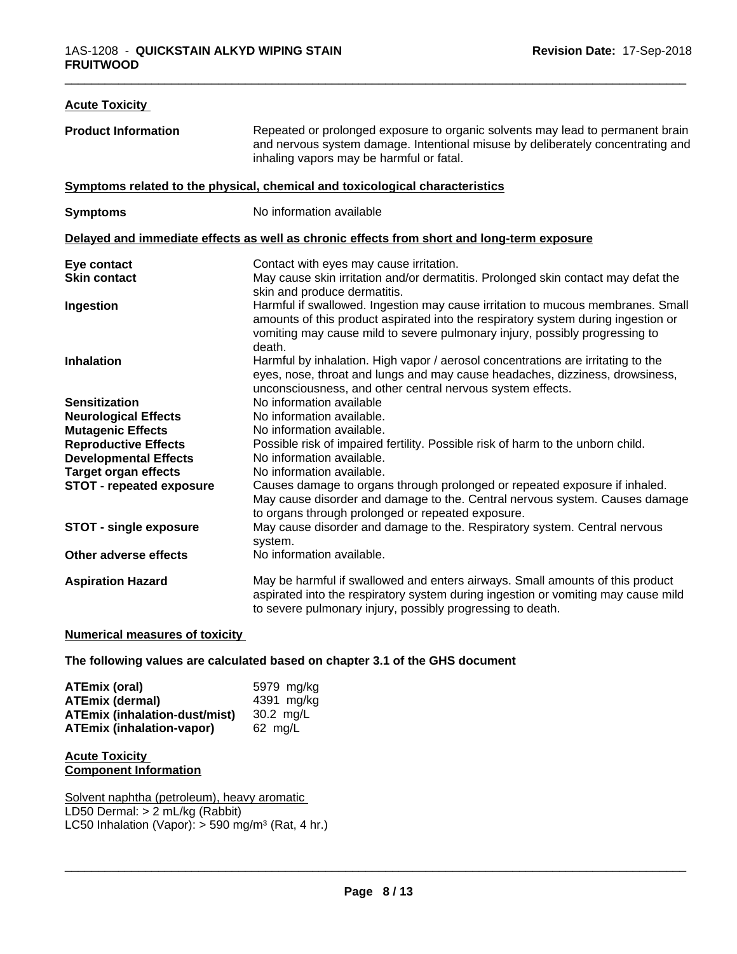| <b>Acute Toxicity</b>           |                                                                                                                                                                                                                                                               |
|---------------------------------|---------------------------------------------------------------------------------------------------------------------------------------------------------------------------------------------------------------------------------------------------------------|
| <b>Product Information</b>      | Repeated or prolonged exposure to organic solvents may lead to permanent brain<br>and nervous system damage. Intentional misuse by deliberately concentrating and<br>inhaling vapors may be harmful or fatal.                                                 |
|                                 | Symptoms related to the physical, chemical and toxicological characteristics                                                                                                                                                                                  |
| <b>Symptoms</b>                 | No information available                                                                                                                                                                                                                                      |
|                                 | Delayed and immediate effects as well as chronic effects from short and long-term exposure                                                                                                                                                                    |
| Eye contact                     | Contact with eyes may cause irritation.                                                                                                                                                                                                                       |
| <b>Skin contact</b>             | May cause skin irritation and/or dermatitis. Prolonged skin contact may defat the<br>skin and produce dermatitis.                                                                                                                                             |
| Ingestion                       | Harmful if swallowed. Ingestion may cause irritation to mucous membranes. Small<br>amounts of this product aspirated into the respiratory system during ingestion or<br>vomiting may cause mild to severe pulmonary injury, possibly progressing to<br>death. |
| <b>Inhalation</b>               | Harmful by inhalation. High vapor / aerosol concentrations are irritating to the<br>eyes, nose, throat and lungs and may cause headaches, dizziness, drowsiness,<br>unconsciousness, and other central nervous system effects.                                |
| <b>Sensitization</b>            | No information available                                                                                                                                                                                                                                      |
| <b>Neurological Effects</b>     | No information available.                                                                                                                                                                                                                                     |
| <b>Mutagenic Effects</b>        | No information available.                                                                                                                                                                                                                                     |
| <b>Reproductive Effects</b>     | Possible risk of impaired fertility. Possible risk of harm to the unborn child.                                                                                                                                                                               |
| <b>Developmental Effects</b>    | No information available.                                                                                                                                                                                                                                     |
| <b>Target organ effects</b>     | No information available.                                                                                                                                                                                                                                     |
| <b>STOT - repeated exposure</b> | Causes damage to organs through prolonged or repeated exposure if inhaled.<br>May cause disorder and damage to the. Central nervous system. Causes damage<br>to organs through prolonged or repeated exposure.                                                |
| <b>STOT - single exposure</b>   | May cause disorder and damage to the. Respiratory system. Central nervous<br>system.                                                                                                                                                                          |
| Other adverse effects           | No information available.                                                                                                                                                                                                                                     |
| <b>Aspiration Hazard</b>        | May be harmful if swallowed and enters airways. Small amounts of this product<br>aspirated into the respiratory system during ingestion or vomiting may cause mild<br>to severe pulmonary injury, possibly progressing to death.                              |
|                                 |                                                                                                                                                                                                                                                               |

### **Numerical measures of toxicity**

**The following values are calculated based on chapter 3.1 of the GHS document**

| <b>ATEmix (oral)</b>                 | 5979 mg/ka |
|--------------------------------------|------------|
| <b>ATEmix (dermal)</b>               | 4391 mg/ka |
| <b>ATEmix (inhalation-dust/mist)</b> | 30.2 mg/L  |
| <b>ATEmix (inhalation-vapor)</b>     | 62 ma/L    |

### **Acute Toxicity Component Information**

Solvent naphtha (petroleum), heavy aromatic LD50 Dermal: > 2 mL/kg (Rabbit) LC50 Inhalation (Vapor): > 590 mg/m<sup>3</sup> (Rat, 4 hr.)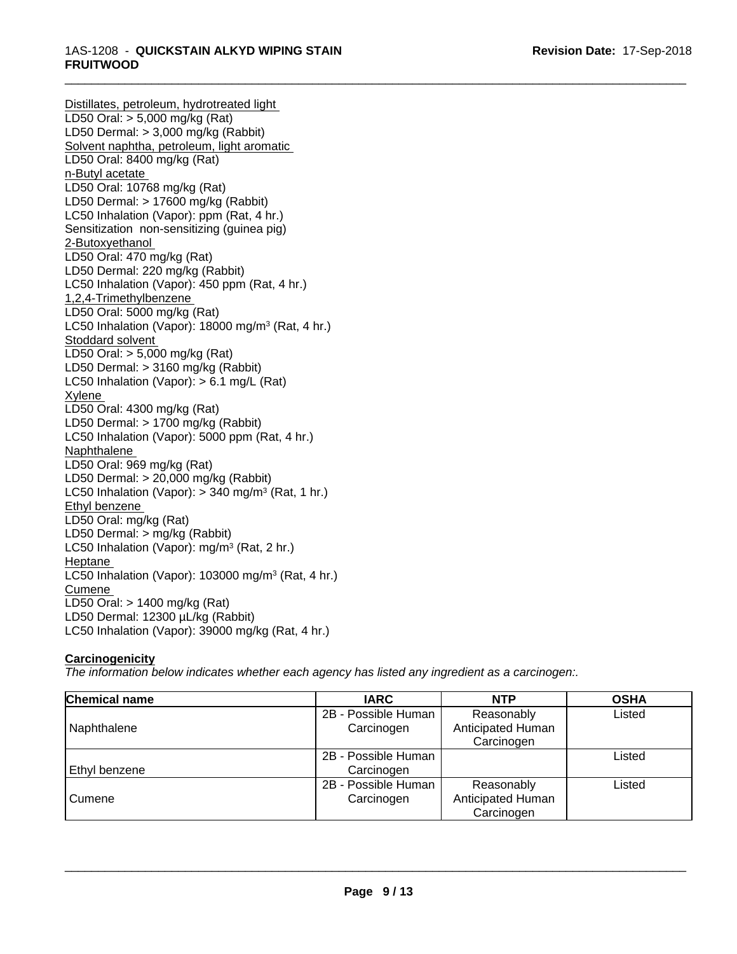Distillates, petroleum, hydrotreated light LD50 Oral: > 5,000 mg/kg (Rat) LD50 Dermal: > 3,000 mg/kg (Rabbit) Solvent naphtha, petroleum, light aromatic LD50 Oral: 8400 mg/kg (Rat) n-Butyl acetate LD50 Oral: 10768 mg/kg (Rat) LD50 Dermal: > 17600 mg/kg (Rabbit) LC50 Inhalation (Vapor): ppm (Rat, 4 hr.) Sensitization non-sensitizing (guinea pig) 2-Butoxyethanol LD50 Oral: 470 mg/kg (Rat) LD50 Dermal: 220 mg/kg (Rabbit) LC50 Inhalation (Vapor): 450 ppm (Rat, 4 hr.) 1,2,4-Trimethylbenzene LD50 Oral: 5000 mg/kg (Rat) LC50 Inhalation (Vapor): 18000 mg/m<sup>3</sup> (Rat, 4 hr.) Stoddard solvent LD50 Oral: > 5,000 mg/kg (Rat) LD50 Dermal: > 3160 mg/kg (Rabbit) LC50 Inhalation (Vapor): > 6.1 mg/L (Rat) Xylene LD50 Oral: 4300 mg/kg (Rat) LD50 Dermal: > 1700 mg/kg (Rabbit) LC50 Inhalation (Vapor): 5000 ppm (Rat, 4 hr.) Naphthalene LD50 Oral: 969 mg/kg (Rat) LD50 Dermal: > 20,000 mg/kg (Rabbit) LC50 Inhalation (Vapor): > 340 mg/m<sup>3</sup> (Rat, 1 hr.) Ethyl benzene LD50 Oral: mg/kg (Rat) LD50 Dermal: > mg/kg (Rabbit) LC50 Inhalation (Vapor): mg/m<sup>3</sup> (Rat, 2 hr.) Heptane LC50 Inhalation (Vapor): 103000 mg/m<sup>3</sup> (Rat, 4 hr.) **Cumene** LD50 Oral: > 1400 mg/kg (Rat) LD50 Dermal: 12300 µL/kg (Rabbit) LC50 Inhalation (Vapor): 39000 mg/kg (Rat, 4 hr.)

# **Carcinogenicity**

*The information below indicateswhether each agency has listed any ingredient as a carcinogen:.*

| <b>Chemical name</b> | <b>IARC</b>         | <b>NTP</b>        | <b>OSHA</b> |
|----------------------|---------------------|-------------------|-------------|
|                      | 2B - Possible Human | Reasonably        | Listed      |
| Naphthalene          | Carcinogen          | Anticipated Human |             |
|                      |                     | Carcinogen        |             |
|                      | 2B - Possible Human |                   | Listed      |
| Ethyl benzene        | Carcinogen          |                   |             |
|                      | 2B - Possible Human | Reasonably        | Listed      |
| Cumene               | Carcinogen          | Anticipated Human |             |
|                      |                     | Carcinogen        |             |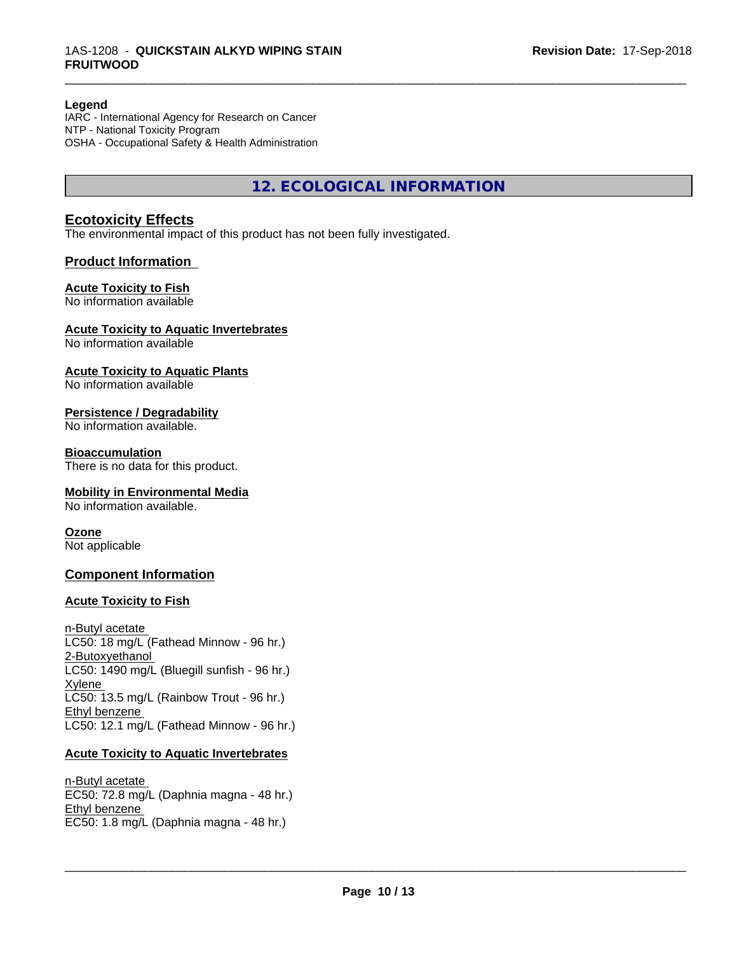### **Legend**

IARC - International Agency for Research on Cancer NTP - National Toxicity Program OSHA - Occupational Safety & Health Administration

**12. ECOLOGICAL INFORMATION**

\_\_\_\_\_\_\_\_\_\_\_\_\_\_\_\_\_\_\_\_\_\_\_\_\_\_\_\_\_\_\_\_\_\_\_\_\_\_\_\_\_\_\_\_\_\_\_\_\_\_\_\_\_\_\_\_\_\_\_\_\_\_\_\_\_\_\_\_\_\_\_\_\_\_\_\_\_\_\_\_\_\_\_\_\_\_\_\_\_\_\_\_\_

# **Ecotoxicity Effects**

The environmental impact of this product has not been fully investigated.

### **Product Information**

### **Acute Toxicity to Fish**

No information available

### **Acute Toxicity to Aquatic Invertebrates**

No information available

### **Acute Toxicity to Aquatic Plants**

No information available

### **Persistence / Degradability**

No information available.

### **Bioaccumulation**

There is no data for this product.

### **Mobility in Environmental Media**

No information available.

### **Ozone**

Not applicable

# **Component Information**

### **Acute Toxicity to Fish**

n-Butyl acetate LC50: 18 mg/L (Fathead Minnow - 96 hr.) 2-Butoxyethanol  $LC50: 1490$  mg/L (Bluegill sunfish - 96 hr.) Xylene LC50: 13.5 mg/L (Rainbow Trout - 96 hr.) Ethyl benzene LC50: 12.1 mg/L (Fathead Minnow - 96 hr.)

### **Acute Toxicity to Aquatic Invertebrates**

n-Butyl acetate EC50: 72.8 mg/L (Daphnia magna - 48 hr.) Ethyl benzene EC50: 1.8 mg/L (Daphnia magna - 48 hr.)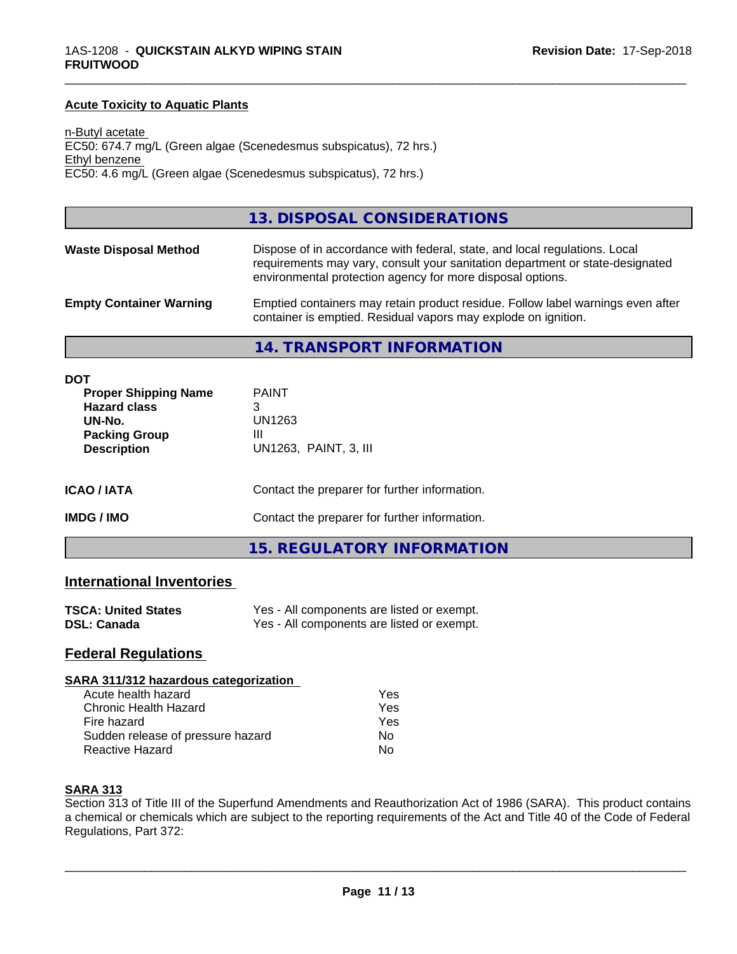### **Acute Toxicity to Aquatic Plants**

n-Butyl acetate EC50: 674.7 mg/L (Green algae (Scenedesmus subspicatus), 72 hrs.) Ethyl benzene EC50: 4.6 mg/L (Green algae (Scenedesmus subspicatus), 72 hrs.)

## **13. DISPOSAL CONSIDERATIONS**

| <b>Waste Disposal Method</b>   | Dispose of in accordance with federal, state, and local regulations. Local<br>requirements may vary, consult your sanitation department or state-designated<br>environmental protection agency for more disposal options. |
|--------------------------------|---------------------------------------------------------------------------------------------------------------------------------------------------------------------------------------------------------------------------|
| <b>Empty Container Warning</b> | Emptied containers may retain product residue. Follow label warnings even after<br>container is emptied. Residual vapors may explode on ignition.                                                                         |

\_\_\_\_\_\_\_\_\_\_\_\_\_\_\_\_\_\_\_\_\_\_\_\_\_\_\_\_\_\_\_\_\_\_\_\_\_\_\_\_\_\_\_\_\_\_\_\_\_\_\_\_\_\_\_\_\_\_\_\_\_\_\_\_\_\_\_\_\_\_\_\_\_\_\_\_\_\_\_\_\_\_\_\_\_\_\_\_\_\_\_\_\_

### **14. TRANSPORT INFORMATION**

| <b>DOT</b><br><b>Proper Shipping Name</b><br><b>Hazard class</b><br>UN-No.<br><b>Packing Group</b><br><b>Description</b> | <b>PAINT</b><br>3<br>UN1263<br>Ш<br>UN1263, PAINT, 3, III |  |
|--------------------------------------------------------------------------------------------------------------------------|-----------------------------------------------------------|--|
| <b>ICAO/IATA</b>                                                                                                         | Contact the preparer for further information.             |  |
| <b>IMDG / IMO</b>                                                                                                        | Contact the preparer for further information.             |  |
|                                                                                                                          | <b>15. REGULATORY INFORMATION</b>                         |  |

## **International Inventories**

| <b>TSCA: United States</b> | Yes - All components are listed or exempt. |
|----------------------------|--------------------------------------------|
| <b>DSL: Canada</b>         | Yes - All components are listed or exempt. |

# **Federal Regulations**

#### **SARA 311/312 hazardous categorization**

| Acute health hazard               | Yes |  |
|-----------------------------------|-----|--|
| Chronic Health Hazard             | Yes |  |
| Fire hazard                       | Yes |  |
| Sudden release of pressure hazard | Nο  |  |
| Reactive Hazard                   | Nο  |  |

### **SARA 313**

Section 313 of Title III of the Superfund Amendments and Reauthorization Act of 1986 (SARA). This product contains a chemical or chemicals which are subject to the reporting requirements of the Act and Title 40 of the Code of Federal Regulations, Part 372: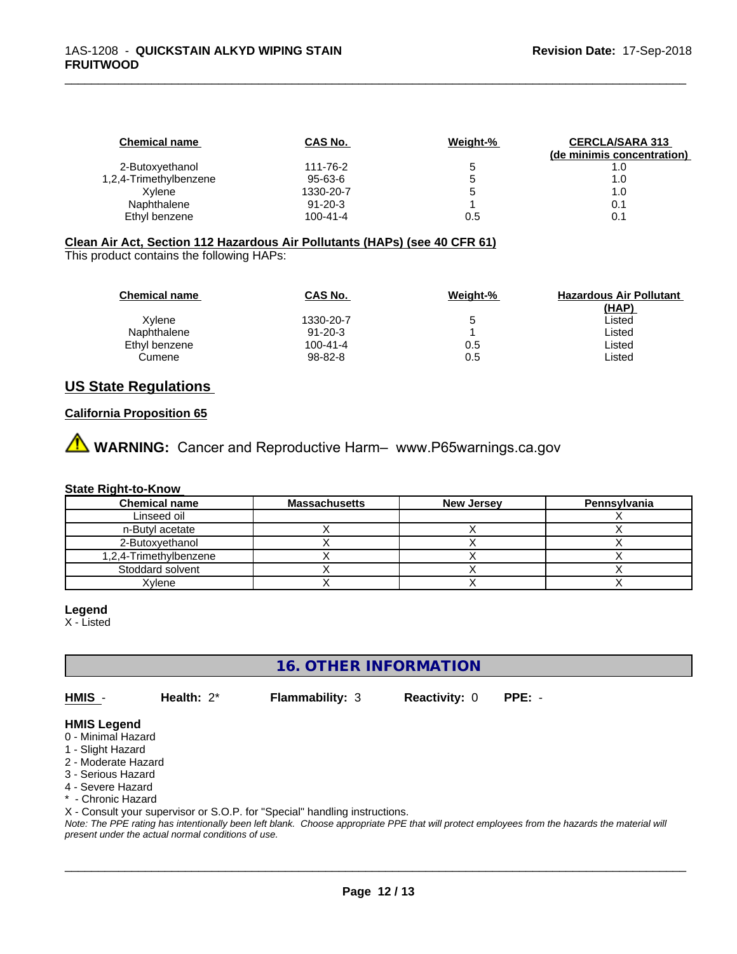| <b>Chemical name</b>   | CAS No.        | Weight-% | <b>CERCLA/SARA 313</b>     |
|------------------------|----------------|----------|----------------------------|
|                        |                |          | (de minimis concentration) |
| 2-Butoxyethanol        | 111-76-2       | b        | 1.0                        |
| 1,2,4-Trimethylbenzene | 95-63-6        |          | 1.0                        |
| Xvlene                 | 1330-20-7      | b        | 1.0                        |
| Naphthalene            | $91 - 20 - 3$  |          | 0.1                        |
| Ethyl benzene          | $100 - 41 - 4$ | 0.5      | 0.1                        |

\_\_\_\_\_\_\_\_\_\_\_\_\_\_\_\_\_\_\_\_\_\_\_\_\_\_\_\_\_\_\_\_\_\_\_\_\_\_\_\_\_\_\_\_\_\_\_\_\_\_\_\_\_\_\_\_\_\_\_\_\_\_\_\_\_\_\_\_\_\_\_\_\_\_\_\_\_\_\_\_\_\_\_\_\_\_\_\_\_\_\_\_\_

### **Clean Air Act,Section 112 Hazardous Air Pollutants (HAPs) (see 40 CFR 61)**

This product contains the following HAPs:

| <b>Chemical name</b> | CAS No.       | Weight-% | <b>Hazardous Air Pollutant</b> |
|----------------------|---------------|----------|--------------------------------|
|                      |               |          | (HAP)                          |
| Xvlene               | 1330-20-7     | 5        | Listed                         |
| Naphthalene          | $91 - 20 - 3$ |          | Listed                         |
| Ethyl benzene        | 100-41-4      | 0.5      | Listed                         |
| Cumene               | 98-82-8       | 0.5      | Listed                         |

# **US State Regulations**

### **California Proposition 65**

**A** WARNING: Cancer and Reproductive Harm– www.P65warnings.ca.gov

## **State Right-to-Know**

| <b>Chemical name</b>   | <b>Massachusetts</b> | <b>New Jersey</b> | Pennsylvania |
|------------------------|----------------------|-------------------|--------------|
| Linseed oil            |                      |                   |              |
| n-Butyl acetate        |                      |                   |              |
| 2-Butoxvethanol        |                      |                   |              |
| 1,2,4-Trimethylbenzene |                      |                   |              |
| Stoddard solvent       |                      |                   |              |
| Xvlene                 |                      |                   |              |

#### **Legend**

X - Listed

**16. OTHER INFORMATION**

**HMIS** - **Health:** 2\* **Flammability:** 3 **Reactivity:** 0 **PPE:** -

 $\overline{\phantom{a}}$  ,  $\overline{\phantom{a}}$  ,  $\overline{\phantom{a}}$  ,  $\overline{\phantom{a}}$  ,  $\overline{\phantom{a}}$  ,  $\overline{\phantom{a}}$  ,  $\overline{\phantom{a}}$  ,  $\overline{\phantom{a}}$  ,  $\overline{\phantom{a}}$  ,  $\overline{\phantom{a}}$  ,  $\overline{\phantom{a}}$  ,  $\overline{\phantom{a}}$  ,  $\overline{\phantom{a}}$  ,  $\overline{\phantom{a}}$  ,  $\overline{\phantom{a}}$  ,  $\overline{\phantom{a}}$ 

# **HMIS Legend**

- 0 Minimal Hazard
- 1 Slight Hazard
- 2 Moderate Hazard
- 3 Serious Hazard
- 4 Severe Hazard \* - Chronic Hazard
- X Consult your supervisor or S.O.P. for "Special" handling instructions.

*Note: The PPE rating has intentionally been left blank. Choose appropriate PPE that will protect employees from the hazards the material will present under the actual normal conditions of use.*